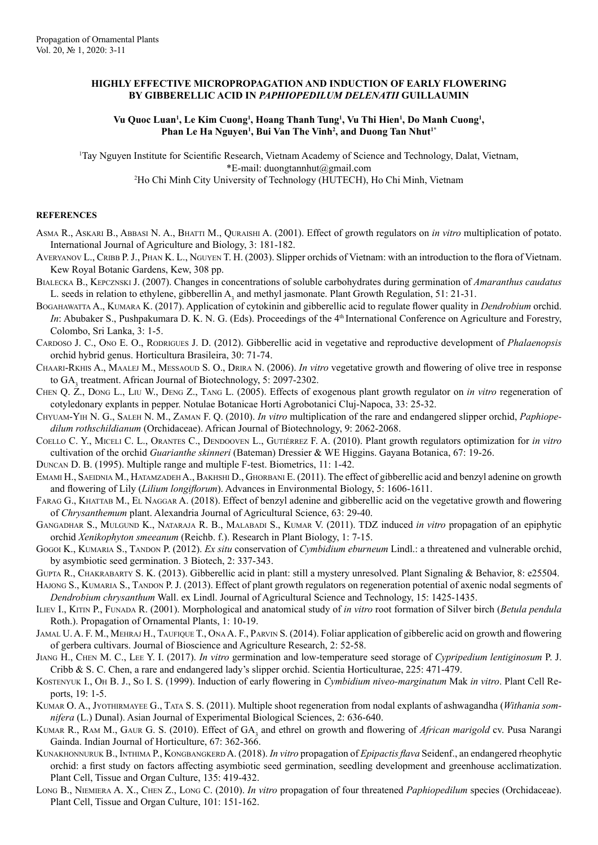## **HIGHLY EFFECTIVE MICROPROPAGATION AND INDUCTION OF EARLY FLOWERING BY GIBBERELLIC ACID IN** *PAPHIOPEDILUM DELENATII* **GUILLAUMIN**

## Vu Quoc Luan<sup>ı</sup>, Le Kim Cuong<sup>ı</sup>, Hoang Thanh Tung<sup>ı</sup>, Vu Thi Hien<sup>ı</sup>, Do Manh Cuong<sup>ı</sup>, Phan Le Ha Nguyen<sup>1</sup>, Bui Van The Vinh<sup>2</sup>, and Duong Tan Nhut<sup>1\*</sup>

1 Tay Nguyen Institute for Scientific Research, Vietnam Academy of Science and Technology, Dalat, Vietnam, \*E-mail: duongtannhut@gmail.com

2 Ho Chi Minh City University of Technology (HUTECH), Ho Chi Minh, Vietnam

## **REFERENCES**

- Asma R., Askari B., Abbasi N. A., Bhatti M., Quraishi A. (2001). Effect of growth regulators on *in vitro* multiplication of potato. International Journal of Agriculture and Biology, 3: 181-182.
- AVERYANOV L., CRIBB P. J., PHAN K. L., NGUYEN T. H. (2003). Slipper orchids of Vietnam: with an introduction to the flora of Vietnam. Kew Royal Botanic Gardens, Kew, 308 pp.
- Bialecka B., Kepcznski J. (2007). Changes in concentrations of soluble carbohydrates during germination of *Amaranthus caudatus* L. seeds in relation to ethylene, gibberellin  $A_3$  and methyl jasmonate. Plant Growth Regulation, 51: 21-31.
- BOGAHAWATTA A., KUMARA K. (2017). Application of cytokinin and gibberellic acid to regulate flower quality in *Dendrobium* orchid. *In*: Abubaker S., Pushpakumara D. K. N. G. (Eds). Proceedings of the 4<sup>th</sup> International Conference on Agriculture and Forestry, Colombo, Sri Lanka, 3: 1-5.
- Cardoso J. C., Ono E. O., Rodrigues J. D. (2012). Gibberellic acid in vegetative and reproductive development of *Phalaenopsis* orchid hybrid genus. Horticultura Brasileira, 30: 71-74.
- Chaari-Rkhis A., Maalej M., Messaoud S. O., Drira N. (2006). *In vitro* vegetative growth and flowering of olive tree in response to GA<sub>3</sub> treatment. African Journal of Biotechnology, 5: 2097-2302.
- Chen Q. Z., Dong L., Liu W., Deng Z., Tang L. (2005). Effects of exogenous plant growth regulator on *in vitro* regeneration of cotyledonary explants in pepper. Notulae Botanicae Horti Agrobotanici Cluj-Napoca, 33: 25-32.
- Chyuam-Yih N. G., Saleh N. M., Zaman F. Q. (2010). *In vitro* multiplication of the rare and endangered slipper orchid, *Paphiopedilum rothschildianum* (Orchidaceae). African Journal of Biotechnology, 9: 2062-2068.
- Coello C. Y., Miceli C. L., Orantes C., Dendooven L., Gutiérrez F. A. (2010). Plant growth regulators optimization for *in vitro* cultivation of the orchid *Guarianthe skinneri* (Bateman) Dressier & WE Higgins. Gayana Botanica, 67: 19-26.
- Duncan D. B. (1995). Multiple range and multiple F-test. Biometrics, 11: 1-42.
- EMAMI H., SAEIDNIA M., HATAMZADEH A., BAKHSHI D., GHORBANI E. (2011). The effect of gibberellic acid and benzyl adenine on growth and flowering of Lily (*Lilium longiflorum*). Advances in Environmental Biology, 5: 1606-1611.
- Farag G., Khattab M., El Naggar A. (2018). Effect of benzyl adenine and gibberellic acid on the vegetative growth and flowering of *Chrysanthemum* plant. Alexandria Journal of Agricultural Science, 63: 29-40.
- Gangadhar S., Mulgund K., Nataraja R. B., Malabadi S., Kumar V. (2011). TDZ induced *in vitro* propagation of an epiphytic orchid *Xenikophyton smeeanum* (Reichb. f.). Research in Plant Biology, 1: 7-15.
- Gogoi K., KUMARIA S., TANDON P. (2012). *Ex situ* conservation of *Cymbidium eburneum* Lindl.: a threatened and vulnerable orchid, by asymbiotic seed germination. 3 Biotech, 2: 337-343.
- Gupta R., Chakrabarty S. K. (2013). Gibberellic acid in plant: still a mystery unresolved. Plant Signaling & Behavior, 8: e25504.
- HAJONG S., KUMARIA S., TANDON P. J. (2013). Effect of plant growth regulators on regeneration potential of axenic nodal segments of *Dendrobium chrysanthum* Wall. ex Lindl. Journal of Agricultural Science and Technology, 15: 1425-1435.
- Iliev I., Kitin P., Funada R. (2001). Morphological and anatomical study of *in vitro* root formation of Silver birch (*Betula pendula* Roth.). Propagation of Ornamental Plants, 1: 10-19.
- Jamal U. A. F. M., Mehraj H., Taufique T., Ona A. F., Parvin S. (2014). Foliar application of gibberelic acid on growth and flowering of gerbera cultivars. Journal of Bioscience and Agriculture Research, 2: 52-58.
- Jiang H., Chen M. C., Lee Y. I. (2017). *In vitro* germination and low-temperature seed storage of *Cypripedium lentiginosum* P. J. Cribb & S. C. Chen, a rare and endangered lady's slipper orchid. Scientia Horticulturae, 225: 471-479.
- Kostenyuk I., Oh B. J., So I. S. (1999). Induction of early flowering in *Cymbidium niveo-marginatum* Mak *in vitro*. Plant Cell Reports, 19: 1-5.
- Kumar O. A., Jyothirmayee G., Tata S. S. (2011). Multiple shoot regeneration from nodal explants of ashwagandha (*Withania somnifera* (L.) Dunal). Asian Journal of Experimental Biological Sciences, 2: 636-640.
- KUMAR R., RAM M., GAUR G. S. (2010). Effect of GA<sub>3</sub> and ethrel on growth and flowering of *African marigold* cv. Pusa Narangi Gainda. Indian Journal of Horticulture, 67: 362-366.
- Kunakhonnuruk B., Inthima P., Kongbangkerd A. (2018). *In vitro* propagation of *Epipactis flava* Seidenf., an endangered rheophytic orchid: a first study on factors affecting asymbiotic seed germination, seedling development and greenhouse acclimatization. Plant Cell, Tissue and Organ Culture, 135: 419-432.
- Long B., Niemiera A. X., Chen Z., Long C. (2010). *In vitro* propagation of four threatened *Paphiopedilum* species (Orchidaceae). Plant Cell, Tissue and Organ Culture, 101: 151-162.